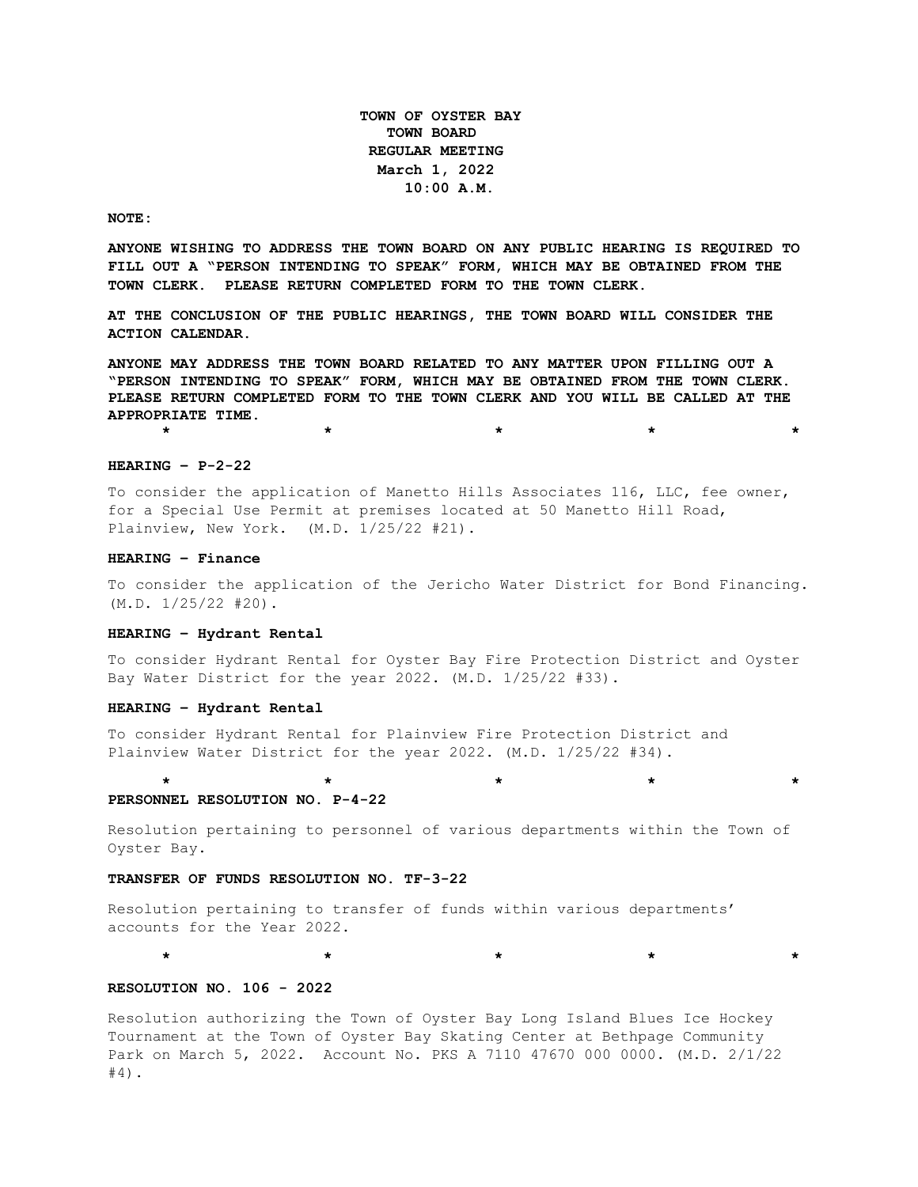**TOWN OF OYSTER BAY TOWN BOARD REGULAR MEETING March 1, 2022 10:00 A.M.** 

### **NOTE:**

**ANYONE WISHING TO ADDRESS THE TOWN BOARD ON ANY PUBLIC HEARING IS REQUIRED TO FILL OUT A "PERSON INTENDING TO SPEAK" FORM, WHICH MAY BE OBTAINED FROM THE TOWN CLERK. PLEASE RETURN COMPLETED FORM TO THE TOWN CLERK.**

**AT THE CONCLUSION OF THE PUBLIC HEARINGS, THE TOWN BOARD WILL CONSIDER THE ACTION CALENDAR.**

**ANYONE MAY ADDRESS THE TOWN BOARD RELATED TO ANY MATTER UPON FILLING OUT A "PERSON INTENDING TO SPEAK" FORM, WHICH MAY BE OBTAINED FROM THE TOWN CLERK. PLEASE RETURN COMPLETED FORM TO THE TOWN CLERK AND YOU WILL BE CALLED AT THE APPROPRIATE TIME.**

**\* \* \* \* \***

### **HEARING – P-2-22**

To consider the application of Manetto Hills Associates 116, LLC, fee owner, for a Special Use Permit at premises located at 50 Manetto Hill Road, Plainview, New York. (M.D. 1/25/22 #21).

## **HEARING – Finance**

To consider the application of the Jericho Water District for Bond Financing. (M.D. 1/25/22 #20).

## **HEARING – Hydrant Rental**

To consider Hydrant Rental for Oyster Bay Fire Protection District and Oyster Bay Water District for the year 2022. (M.D. 1/25/22 #33).

## **HEARING – Hydrant Rental**

To consider Hydrant Rental for Plainview Fire Protection District and Plainview Water District for the year 2022. (M.D. 1/25/22 #34).

## **PERSONNEL RESOLUTION NO. P-4-22**

Resolution pertaining to personnel of various departments within the Town of Oyster Bay.

**\* \* \* \* \***

## **TRANSFER OF FUNDS RESOLUTION NO. TF-3-22**

Resolution pertaining to transfer of funds within various departments' accounts for the Year 2022.

\* \* \* \* \* \* \* \* \* \* \* \*

# **RESOLUTION NO. 106 - 2022**

Resolution authorizing the Town of Oyster Bay Long Island Blues Ice Hockey Tournament at the Town of Oyster Bay Skating Center at Bethpage Community Park on March 5, 2022. Account No. PKS A 7110 47670 000 0000. (M.D. 2/1/22 #4).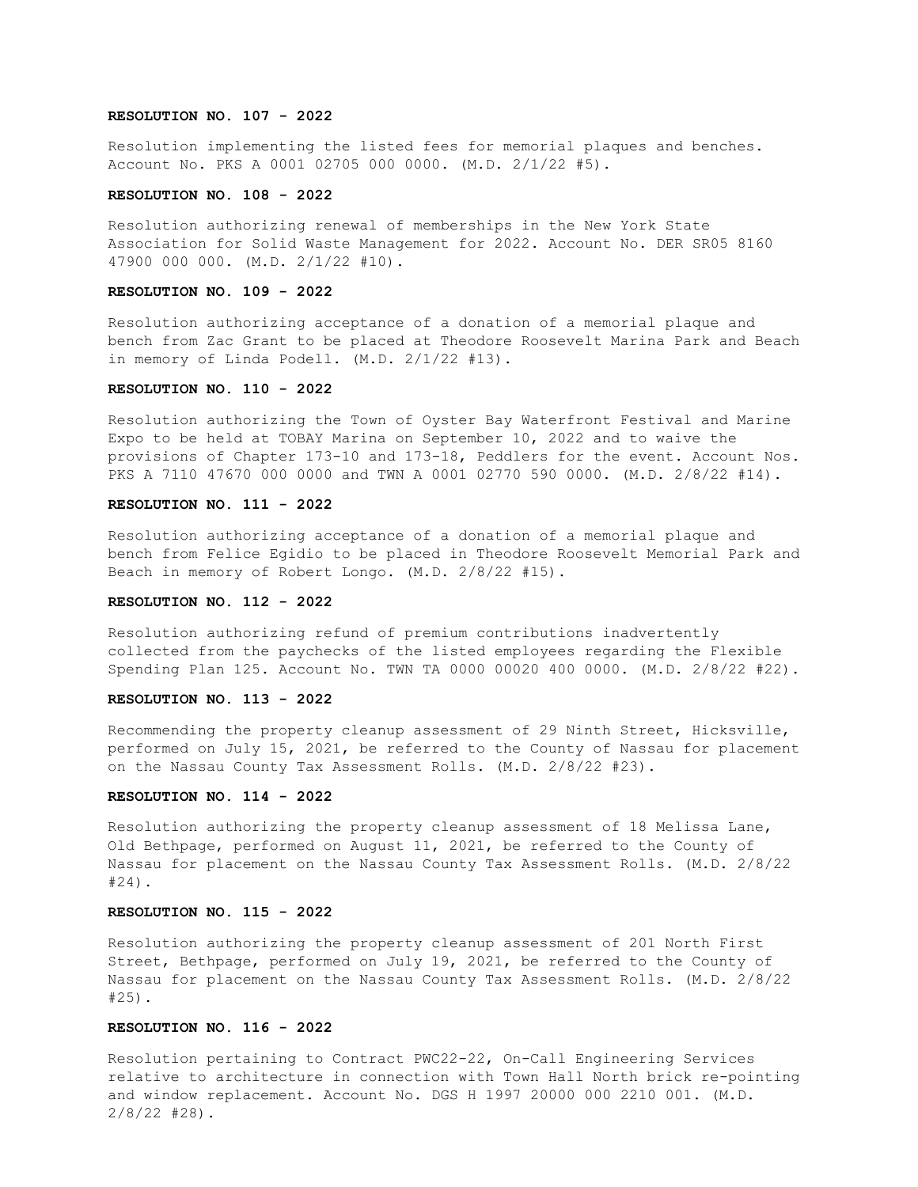## **RESOLUTION NO. 107 - 2022**

Resolution implementing the listed fees for memorial plaques and benches. Account No. PKS A 0001 02705 000 0000. (M.D. 2/1/22 #5).

## **RESOLUTION NO. 108 - 2022**

Resolution authorizing renewal of memberships in the New York State Association for Solid Waste Management for 2022. Account No. DER SR05 8160 47900 000 000. (M.D. 2/1/22 #10).

## **RESOLUTION NO. 109 - 2022**

Resolution authorizing acceptance of a donation of a memorial plaque and bench from Zac Grant to be placed at Theodore Roosevelt Marina Park and Beach in memory of Linda Podell. (M.D. 2/1/22 #13).

## **RESOLUTION NO. 110 - 2022**

Resolution authorizing the Town of Oyster Bay Waterfront Festival and Marine Expo to be held at TOBAY Marina on September 10, 2022 and to waive the provisions of Chapter 173-10 and 173-18, Peddlers for the event. Account Nos. PKS A 7110 47670 000 0000 and TWN A 0001 02770 590 0000. (M.D. 2/8/22 #14).

# **RESOLUTION NO. 111 - 2022**

Resolution authorizing acceptance of a donation of a memorial plaque and bench from Felice Egidio to be placed in Theodore Roosevelt Memorial Park and Beach in memory of Robert Longo. (M.D. 2/8/22 #15).

# **RESOLUTION NO. 112 - 2022**

Resolution authorizing refund of premium contributions inadvertently collected from the paychecks of the listed employees regarding the Flexible Spending Plan 125. Account No. TWN TA 0000 00020 400 0000. (M.D. 2/8/22 #22).

## **RESOLUTION NO. 113 - 2022**

Recommending the property cleanup assessment of 29 Ninth Street, Hicksville, performed on July 15, 2021, be referred to the County of Nassau for placement on the Nassau County Tax Assessment Rolls. (M.D. 2/8/22 #23).

### **RESOLUTION NO. 114 - 2022**

Resolution authorizing the property cleanup assessment of 18 Melissa Lane, Old Bethpage, performed on August 11, 2021, be referred to the County of Nassau for placement on the Nassau County Tax Assessment Rolls. (M.D. 2/8/22 #24).

## **RESOLUTION NO. 115 - 2022**

Resolution authorizing the property cleanup assessment of 201 North First Street, Bethpage, performed on July 19, 2021, be referred to the County of Nassau for placement on the Nassau County Tax Assessment Rolls. (M.D. 2/8/22 #25).

## **RESOLUTION NO. 116 - 2022**

Resolution pertaining to Contract PWC22-22, On-Call Engineering Services relative to architecture in connection with Town Hall North brick re-pointing and window replacement. Account No. DGS H 1997 20000 000 2210 001. (M.D. 2/8/22 #28).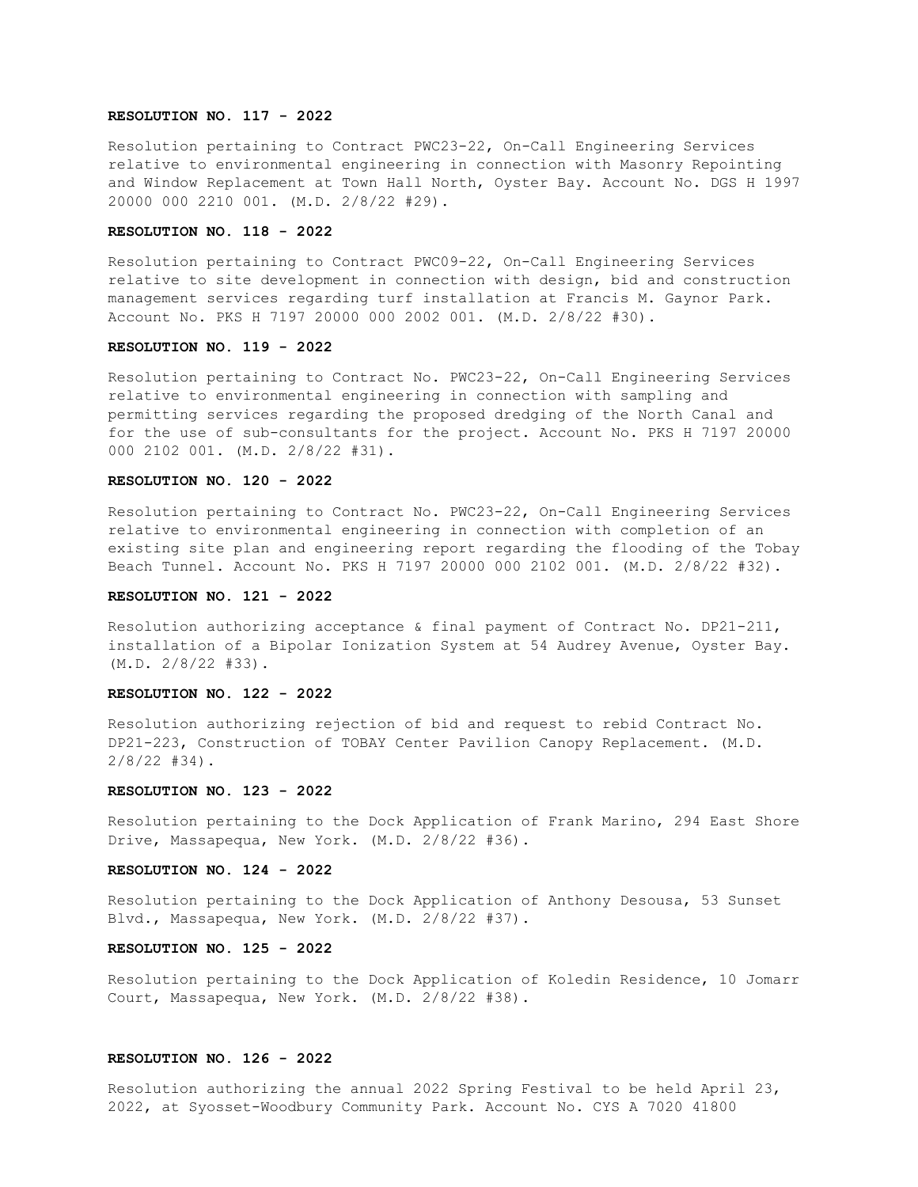## **RESOLUTION NO. 117 - 2022**

Resolution pertaining to Contract PWC23-22, On-Call Engineering Services relative to environmental engineering in connection with Masonry Repointing and Window Replacement at Town Hall North, Oyster Bay. Account No. DGS H 1997 20000 000 2210 001. (M.D. 2/8/22 #29).

# **RESOLUTION NO. 118 - 2022**

Resolution pertaining to Contract PWC09-22, On-Call Engineering Services relative to site development in connection with design, bid and construction management services regarding turf installation at Francis M. Gaynor Park. Account No. PKS H 7197 20000 000 2002 001. (M.D. 2/8/22 #30).

## **RESOLUTION NO. 119 - 2022**

Resolution pertaining to Contract No. PWC23-22, On-Call Engineering Services relative to environmental engineering in connection with sampling and permitting services regarding the proposed dredging of the North Canal and for the use of sub-consultants for the project. Account No. PKS H 7197 20000 000 2102 001. (M.D. 2/8/22 #31).

## **RESOLUTION NO. 120 - 2022**

Resolution pertaining to Contract No. PWC23-22, On-Call Engineering Services relative to environmental engineering in connection with completion of an existing site plan and engineering report regarding the flooding of the Tobay Beach Tunnel. Account No. PKS H 7197 20000 000 2102 001. (M.D. 2/8/22 #32).

## **RESOLUTION NO. 121 - 2022**

Resolution authorizing acceptance & final payment of Contract No. DP21-211, installation of a Bipolar Ionization System at 54 Audrey Avenue, Oyster Bay. (M.D. 2/8/22 #33).

# **RESOLUTION NO. 122 - 2022**

Resolution authorizing rejection of bid and request to rebid Contract No. DP21-223, Construction of TOBAY Center Pavilion Canopy Replacement. (M.D. 2/8/22 #34).

## **RESOLUTION NO. 123 - 2022**

Resolution pertaining to the Dock Application of Frank Marino, 294 East Shore Drive, Massapequa, New York. (M.D. 2/8/22 #36).

## **RESOLUTION NO. 124 - 2022**

Resolution pertaining to the Dock Application of Anthony Desousa, 53 Sunset Blvd., Massapequa, New York. (M.D. 2/8/22 #37).

## **RESOLUTION NO. 125 - 2022**

Resolution pertaining to the Dock Application of Koledin Residence, 10 Jomarr Court, Massapequa, New York. (M.D. 2/8/22 #38).

# **RESOLUTION NO. 126 - 2022**

Resolution authorizing the annual 2022 Spring Festival to be held April 23, 2022, at Syosset-Woodbury Community Park. Account No. CYS A 7020 41800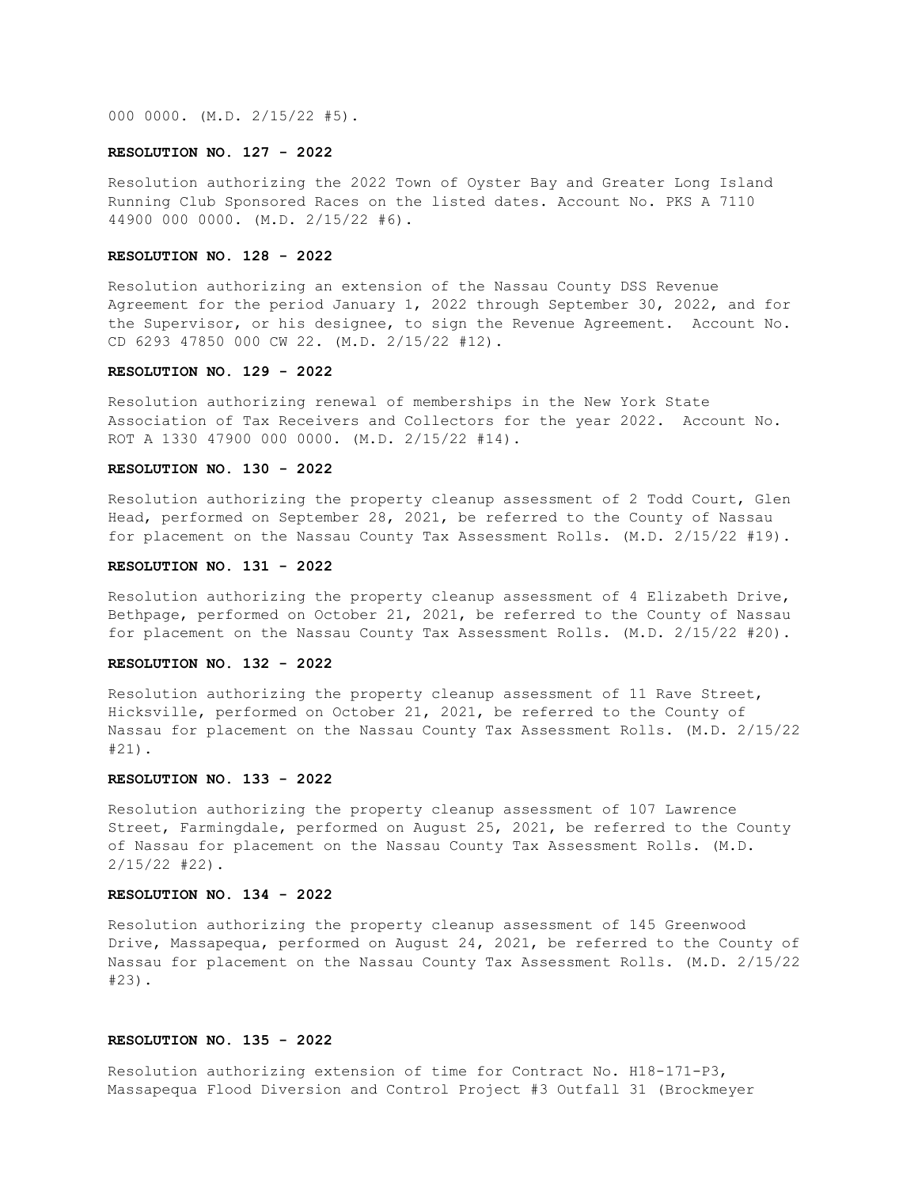000 0000. (M.D. 2/15/22 #5).

## **RESOLUTION NO. 127 - 2022**

Resolution authorizing the 2022 Town of Oyster Bay and Greater Long Island Running Club Sponsored Races on the listed dates. Account No. PKS A 7110 44900 000 0000. (M.D. 2/15/22 #6).

## **RESOLUTION NO. 128 - 2022**

Resolution authorizing an extension of the Nassau County DSS Revenue Agreement for the period January 1, 2022 through September 30, 2022, and for the Supervisor, or his designee, to sign the Revenue Agreement. Account No. CD 6293 47850 000 CW 22. (M.D. 2/15/22 #12).

## **RESOLUTION NO. 129 - 2022**

Resolution authorizing renewal of memberships in the New York State Association of Tax Receivers and Collectors for the year 2022. Account No. ROT A 1330 47900 000 0000. (M.D. 2/15/22 #14).

# **RESOLUTION NO. 130 - 2022**

Resolution authorizing the property cleanup assessment of 2 Todd Court, Glen Head, performed on September 28, 2021, be referred to the County of Nassau for placement on the Nassau County Tax Assessment Rolls. (M.D. 2/15/22 #19).

## **RESOLUTION NO. 131 - 2022**

Resolution authorizing the property cleanup assessment of 4 Elizabeth Drive, Bethpage, performed on October 21, 2021, be referred to the County of Nassau for placement on the Nassau County Tax Assessment Rolls. (M.D. 2/15/22 #20).

### **RESOLUTION NO. 132 - 2022**

Resolution authorizing the property cleanup assessment of 11 Rave Street, Hicksville, performed on October 21, 2021, be referred to the County of Nassau for placement on the Nassau County Tax Assessment Rolls. (M.D. 2/15/22 #21).

#### **RESOLUTION NO. 133 - 2022**

Resolution authorizing the property cleanup assessment of 107 Lawrence Street, Farmingdale, performed on August 25, 2021, be referred to the County of Nassau for placement on the Nassau County Tax Assessment Rolls. (M.D. 2/15/22 #22).

# **RESOLUTION NO. 134 - 2022**

Resolution authorizing the property cleanup assessment of 145 Greenwood Drive, Massapequa, performed on August 24, 2021, be referred to the County of Nassau for placement on the Nassau County Tax Assessment Rolls. (M.D. 2/15/22 #23).

## **RESOLUTION NO. 135 - 2022**

Resolution authorizing extension of time for Contract No. H18-171-P3, Massapequa Flood Diversion and Control Project #3 Outfall 31 (Brockmeyer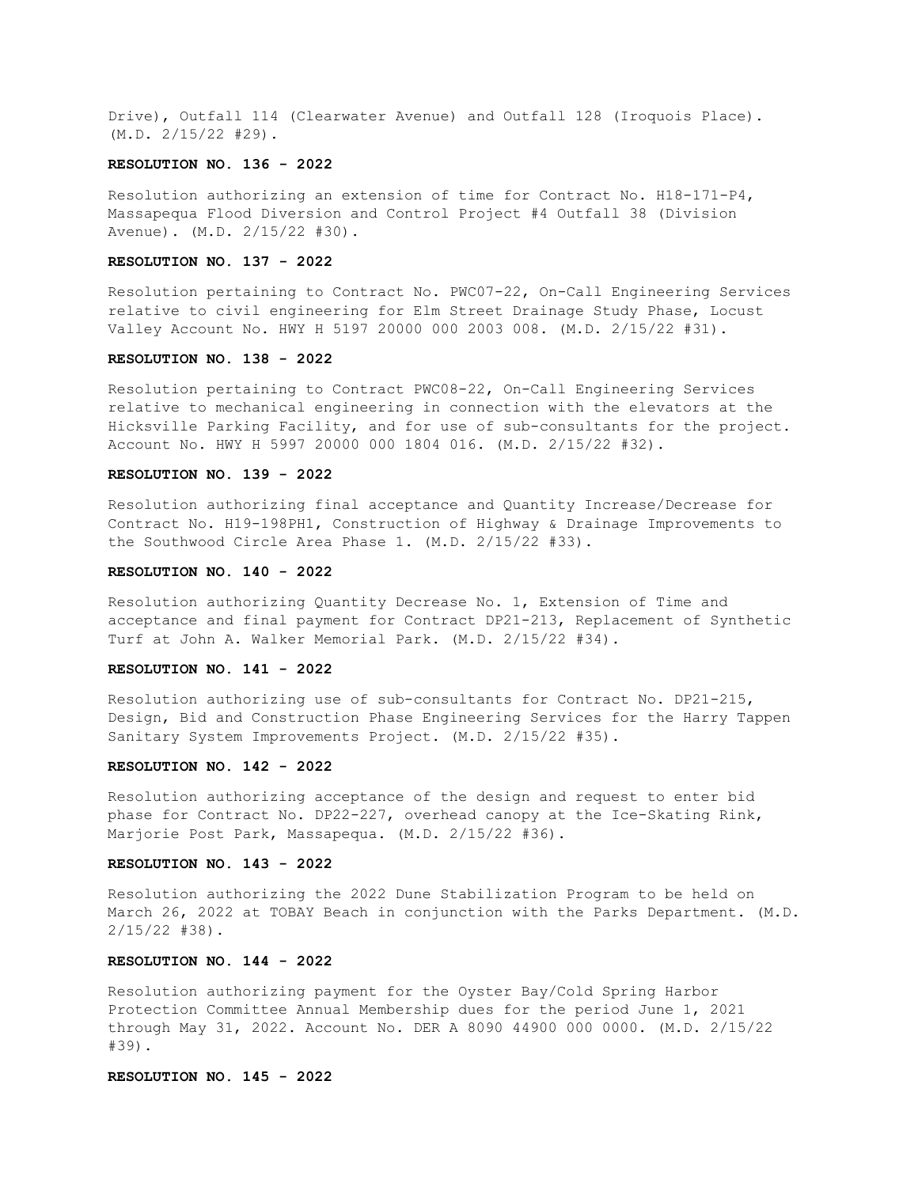Drive), Outfall 114 (Clearwater Avenue) and Outfall 128 (Iroquois Place). (M.D. 2/15/22 #29).

## **RESOLUTION NO. 136 - 2022**

Resolution authorizing an extension of time for Contract No. H18-171-P4, Massapequa Flood Diversion and Control Project #4 Outfall 38 (Division Avenue). (M.D. 2/15/22 #30).

## **RESOLUTION NO. 137 - 2022**

Resolution pertaining to Contract No. PWC07-22, On-Call Engineering Services relative to civil engineering for Elm Street Drainage Study Phase, Locust Valley Account No. HWY H 5197 20000 000 2003 008. (M.D. 2/15/22 #31).

### **RESOLUTION NO. 138 - 2022**

Resolution pertaining to Contract PWC08-22, On-Call Engineering Services relative to mechanical engineering in connection with the elevators at the Hicksville Parking Facility, and for use of sub-consultants for the project. Account No. HWY H 5997 20000 000 1804 016. (M.D. 2/15/22 #32).

## **RESOLUTION NO. 139 - 2022**

Resolution authorizing final acceptance and Quantity Increase/Decrease for Contract No. H19-198PH1, Construction of Highway & Drainage Improvements to the Southwood Circle Area Phase 1. (M.D. 2/15/22 #33).

## **RESOLUTION NO. 140 - 2022**

Resolution authorizing Quantity Decrease No. 1, Extension of Time and acceptance and final payment for Contract DP21-213, Replacement of Synthetic Turf at John A. Walker Memorial Park. (M.D. 2/15/22 #34).

## **RESOLUTION NO. 141 - 2022**

Resolution authorizing use of sub-consultants for Contract No. DP21-215, Design, Bid and Construction Phase Engineering Services for the Harry Tappen Sanitary System Improvements Project. (M.D. 2/15/22 #35).

# **RESOLUTION NO. 142 - 2022**

Resolution authorizing acceptance of the design and request to enter bid phase for Contract No. DP22-227, overhead canopy at the Ice-Skating Rink, Marjorie Post Park, Massapequa. (M.D. 2/15/22 #36).

## **RESOLUTION NO. 143 - 2022**

Resolution authorizing the 2022 Dune Stabilization Program to be held on March 26, 2022 at TOBAY Beach in conjunction with the Parks Department. (M.D. 2/15/22 #38).

## **RESOLUTION NO. 144 - 2022**

Resolution authorizing payment for the Oyster Bay/Cold Spring Harbor Protection Committee Annual Membership dues for the period June 1, 2021 through May 31, 2022. Account No. DER A 8090 44900 000 0000. (M.D. 2/15/22 #39).

## **RESOLUTION NO. 145 - 2022**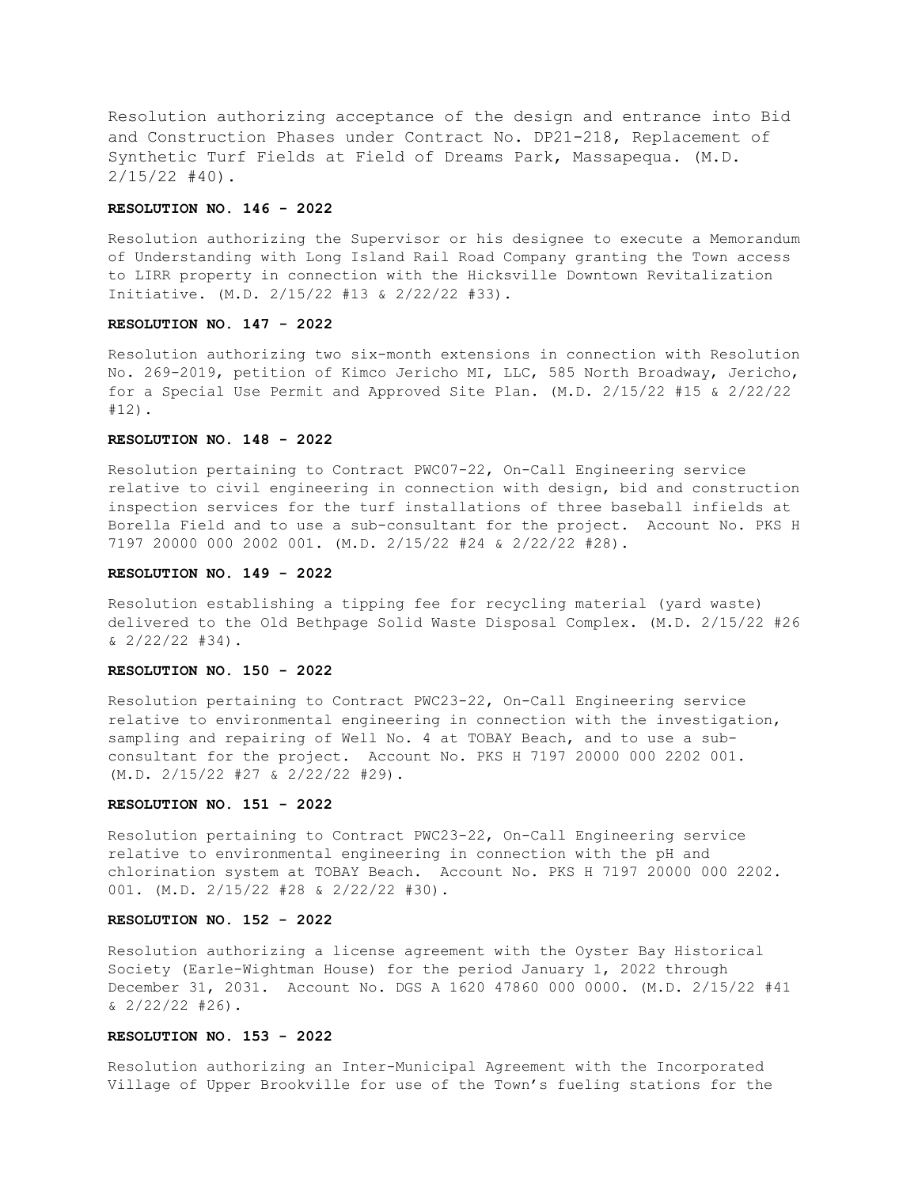Resolution authorizing acceptance of the design and entrance into Bid and Construction Phases under Contract No. DP21-218, Replacement of Synthetic Turf Fields at Field of Dreams Park, Massapequa. (M.D.  $2/15/22$  #40).

## **RESOLUTION NO. 146 - 2022**

Resolution authorizing the Supervisor or his designee to execute a Memorandum of Understanding with Long Island Rail Road Company granting the Town access to LIRR property in connection with the Hicksville Downtown Revitalization Initiative. (M.D. 2/15/22 #13 & 2/22/22 #33).

### **RESOLUTION NO. 147 - 2022**

Resolution authorizing two six-month extensions in connection with Resolution No. 269-2019, petition of Kimco Jericho MI, LLC, 585 North Broadway, Jericho, for a Special Use Permit and Approved Site Plan. (M.D. 2/15/22 #15 & 2/22/22 #12).

## **RESOLUTION NO. 148 - 2022**

Resolution pertaining to Contract PWC07-22, On-Call Engineering service relative to civil engineering in connection with design, bid and construction inspection services for the turf installations of three baseball infields at Borella Field and to use a sub-consultant for the project. Account No. PKS H 7197 20000 000 2002 001. (M.D. 2/15/22 #24 & 2/22/22 #28).

### **RESOLUTION NO. 149 - 2022**

Resolution establishing a tipping fee for recycling material (yard waste) delivered to the Old Bethpage Solid Waste Disposal Complex. (M.D. 2/15/22 #26  $\& 2/22/22 \; \#34$ ).

# **RESOLUTION NO. 150 - 2022**

Resolution pertaining to Contract PWC23-22, On-Call Engineering service relative to environmental engineering in connection with the investigation, sampling and repairing of Well No. 4 at TOBAY Beach, and to use a subconsultant for the project. Account No. PKS H 7197 20000 000 2202 001. (M.D. 2/15/22 #27 & 2/22/22 #29).

### **RESOLUTION NO. 151 - 2022**

Resolution pertaining to Contract PWC23-22, On-Call Engineering service relative to environmental engineering in connection with the pH and chlorination system at TOBAY Beach. Account No. PKS H 7197 20000 000 2202. 001. (M.D. 2/15/22 #28 & 2/22/22 #30).

## **RESOLUTION NO. 152 - 2022**

Resolution authorizing a license agreement with the Oyster Bay Historical Society (Earle-Wightman House) for the period January 1, 2022 through December 31, 2031. Account No. DGS A 1620 47860 000 0000. (M.D. 2/15/22 #41 & 2/22/22 #26).

## **RESOLUTION NO. 153 - 2022**

Resolution authorizing an Inter-Municipal Agreement with the Incorporated Village of Upper Brookville for use of the Town's fueling stations for the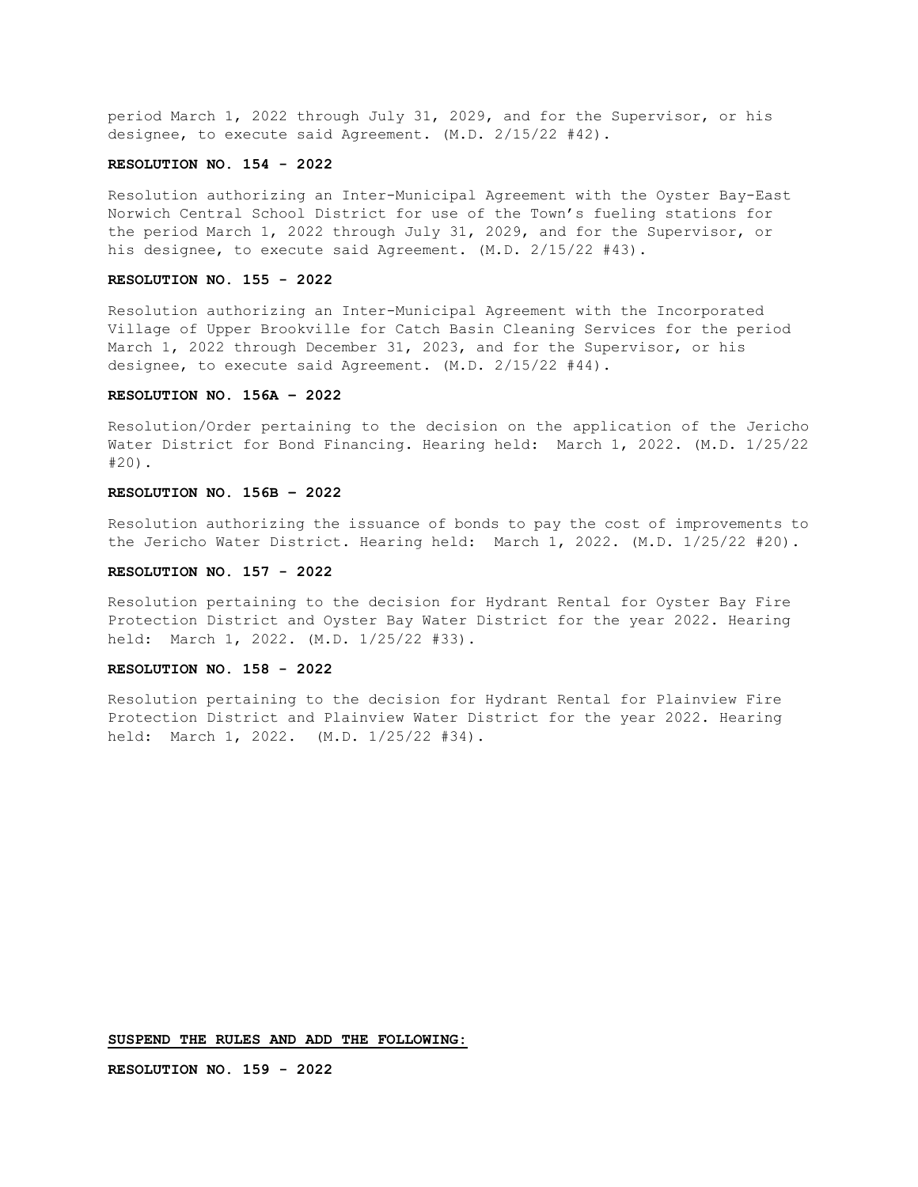period March 1, 2022 through July 31, 2029, and for the Supervisor, or his designee, to execute said Agreement. (M.D. 2/15/22 #42).

## **RESOLUTION NO. 154 - 2022**

Resolution authorizing an Inter-Municipal Agreement with the Oyster Bay-East Norwich Central School District for use of the Town's fueling stations for the period March 1, 2022 through July 31, 2029, and for the Supervisor, or his designee, to execute said Agreement. (M.D. 2/15/22 #43).

## **RESOLUTION NO. 155 - 2022**

Resolution authorizing an Inter-Municipal Agreement with the Incorporated Village of Upper Brookville for Catch Basin Cleaning Services for the period March 1, 2022 through December 31, 2023, and for the Supervisor, or his designee, to execute said Agreement. (M.D. 2/15/22 #44).

## **RESOLUTION NO. 156A – 2022**

Resolution/Order pertaining to the decision on the application of the Jericho Water District for Bond Financing. Hearing held: March 1, 2022. (M.D. 1/25/22 #20).

# **RESOLUTION NO. 156B – 2022**

Resolution authorizing the issuance of bonds to pay the cost of improvements to the Jericho Water District. Hearing held: March 1, 2022. (M.D. 1/25/22 #20).

## **RESOLUTION NO. 157 - 2022**

Resolution pertaining to the decision for Hydrant Rental for Oyster Bay Fire Protection District and Oyster Bay Water District for the year 2022. Hearing held: March 1, 2022. (M.D. 1/25/22 #33).

## **RESOLUTION NO. 158 - 2022**

Resolution pertaining to the decision for Hydrant Rental for Plainview Fire Protection District and Plainview Water District for the year 2022. Hearing held: March 1, 2022. (M.D. 1/25/22 #34).

**SUSPEND THE RULES AND ADD THE FOLLOWING:**

**RESOLUTION NO. 159 - 2022**